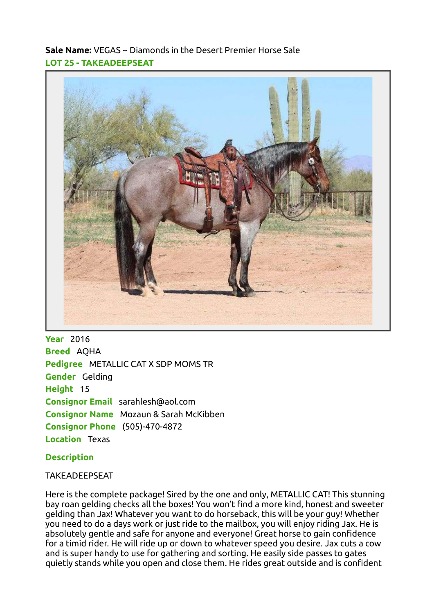Sale Name: VEGAS ~ Diamonds in the Desert Premier Horse Sale LOT 25 - TAKEADEEPSEAT



**Year** 2016 Breed AQHA Pedigree METALLIC CAT X SDP MOMS TR Gender Gelding Height 15 Consignor Email sarahlesh@aol.com Consignor Name Mozaun & Sarah McKibben Consignor Phone (505)-470-4872 Location Texas

## **Description**

## TAKEADEEPSEAT

Here is the complete package! Sired by the one and only, METALLIC CAT! This stunning bay roan gelding checks all the boxes! You won't find a more kind, honest and sweeter gelding than Jax! Whatever you want to do horseback, this will be your guy! Whether you need to do a days work or just ride to the mailbox, you will enjoy riding Jax. He is absolutely gentle and safe for anyone and everyone! Great horse to gain confidence for a timid rider. He will ride up or down to whatever speed you desire. Jax cuts a cow and is super handy to use for gathering and sorting. He easily side passes to gates quietly stands while you open and close them. He rides great outside and is confident